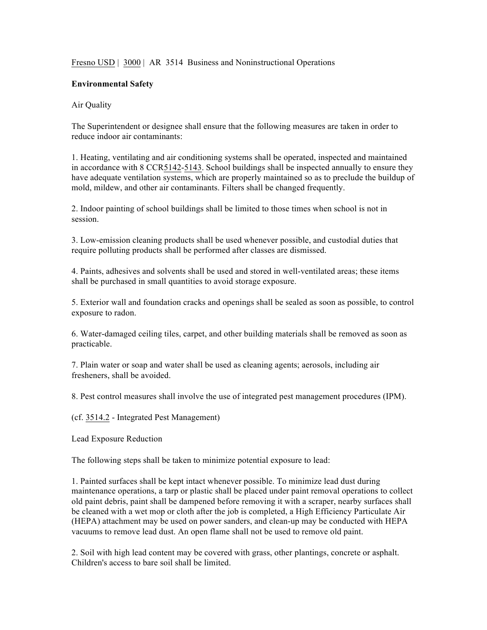Fresno USD | 3000 | AR 3514 Business and Noninstructional Operations

## **Environmental Safety**

## Air Quality

The Superintendent or designee shall ensure that the following measures are taken in order to reduce indoor air contaminants:

1. Heating, ventilating and air conditioning systems shall be operated, inspected and maintained in accordance with 8 CCR5142-5143. School buildings shall be inspected annually to ensure they have adequate ventilation systems, which are properly maintained so as to preclude the buildup of mold, mildew, and other air contaminants. Filters shall be changed frequently.

2. Indoor painting of school buildings shall be limited to those times when school is not in session.

3. Low-emission cleaning products shall be used whenever possible, and custodial duties that require polluting products shall be performed after classes are dismissed.

4. Paints, adhesives and solvents shall be used and stored in well-ventilated areas; these items shall be purchased in small quantities to avoid storage exposure.

5. Exterior wall and foundation cracks and openings shall be sealed as soon as possible, to control exposure to radon.

6. Water-damaged ceiling tiles, carpet, and other building materials shall be removed as soon as practicable.

7. Plain water or soap and water shall be used as cleaning agents; aerosols, including air fresheners, shall be avoided.

8. Pest control measures shall involve the use of integrated pest management procedures (IPM).

(cf. 3514.2 - Integrated Pest Management)

Lead Exposure Reduction

The following steps shall be taken to minimize potential exposure to lead:

1. Painted surfaces shall be kept intact whenever possible. To minimize lead dust during maintenance operations, a tarp or plastic shall be placed under paint removal operations to collect old paint debris, paint shall be dampened before removing it with a scraper, nearby surfaces shall be cleaned with a wet mop or cloth after the job is completed, a High Efficiency Particulate Air (HEPA) attachment may be used on power sanders, and clean-up may be conducted with HEPA vacuums to remove lead dust. An open flame shall not be used to remove old paint.

2. Soil with high lead content may be covered with grass, other plantings, concrete or asphalt. Children's access to bare soil shall be limited.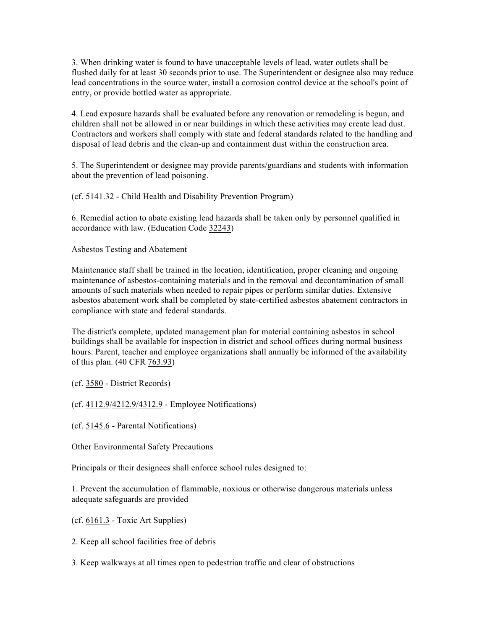3. When drinking water is found to have unacceptable levels of lead, water outlets shall be flushed daily for at least 30 seconds prior to use. The Superintendent or designee also may reduce lead concentrations in the source water, install a corrosion control device at the school's point of entry, or provide bottled water as appropriate.

4. Lead exposure hazards shall be evaluated before any renovation or remodeling is begun, and children shall not be allowed in or near buildings in which these activities may create lead dust. Contractors and workers shall comply with state and federal standards related to the handling and disposal of lead debris and the clean-up and containment dust within the construction area.

5. The Superintendent or designee may provide parents/guardians and students with information about the prevention of lead poisoning.

(cf. 5141.32 - Child Health and Disability Prevention Program)

6. Remedial action to abate existing lead hazards shall be taken only by personnel qualified in accordance with law. (Education Code 32243)

Asbestos Testing and Abatement

Maintenance staff shall be trained in the location, identification, proper cleaning and ongoing maintenance of asbestos-containing materials and in the removal and decontamination of small amounts of such materials when needed to repair pipes or perform similar duties. Extensive asbestos abatement work shall be completed by state-certified asbestos abatement contractors in compliance with state and federal standards.

The district's complete, updated management plan for material containing asbestos in school buildings shall be available for inspection in district and school offices during normal business hours. Parent, teacher and employee organizations shall annually be informed of the availability of this plan. (40 CFR 763.93)

(cf. 3580 - District Records)

(cf. 4112.9/4212.9/4312.9 - Employee Notifications)

(cf. 5145.6 - Parental Notifications)

Other Environmental Safety Precautions

Principals or their designees shall enforce school rules designed to:

1. Prevent the accumulation of flammable, noxious or otherwise dangerous materials unless adequate safeguards are provided

(cf. 6161.3 - Toxic Art Supplies)

2. Keep all school facilities free of debris

3. Keep walkways at all times open to pedestrian traffic and clear of obstructions